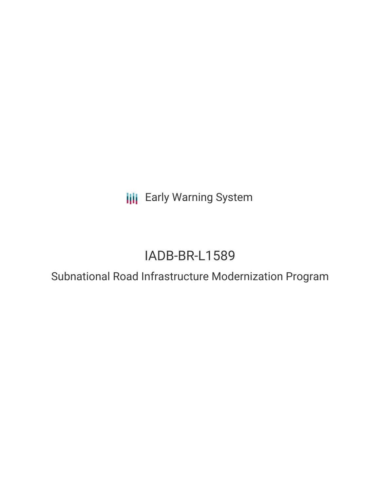**III** Early Warning System

# IADB-BR-L1589

## Subnational Road Infrastructure Modernization Program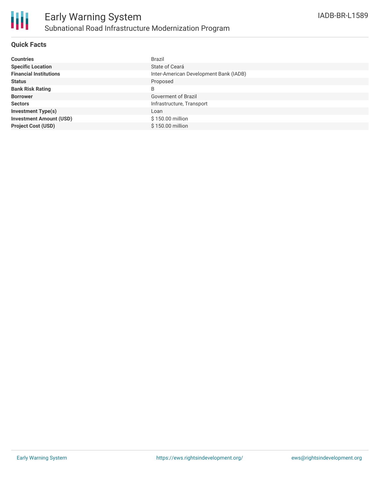### **Quick Facts**

| <b>Countries</b>               | <b>Brazil</b>                          |
|--------------------------------|----------------------------------------|
| <b>Specific Location</b>       | State of Ceará                         |
| <b>Financial Institutions</b>  | Inter-American Development Bank (IADB) |
| <b>Status</b>                  | Proposed                               |
| <b>Bank Risk Rating</b>        | B                                      |
| <b>Borrower</b>                | Goverment of Brazil                    |
| <b>Sectors</b>                 | Infrastructure, Transport              |
| <b>Investment Type(s)</b>      | Loan                                   |
| <b>Investment Amount (USD)</b> | \$150.00 million                       |
| <b>Project Cost (USD)</b>      | \$150.00 million                       |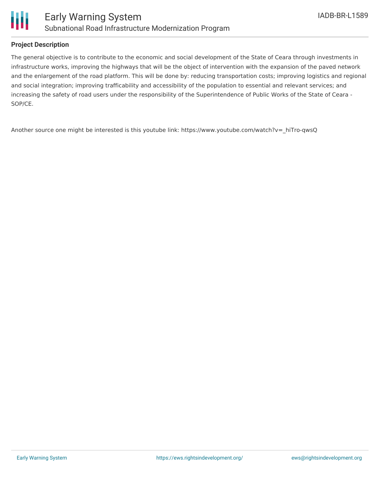

### **Project Description**

The general objective is to contribute to the economic and social development of the State of Ceara through investments in infrastructure works, improving the highways that will be the object of intervention with the expansion of the paved network and the enlargement of the road platform. This will be done by: reducing transportation costs; improving logistics and regional and social integration; improving trafficability and accessibility of the population to essential and relevant services; and increasing the safety of road users under the responsibility of the Superintendence of Public Works of the State of Ceara - SOP/CE.

Another source one might be interested is this youtube link: https://www.youtube.com/watch?v= hiTro-qwsQ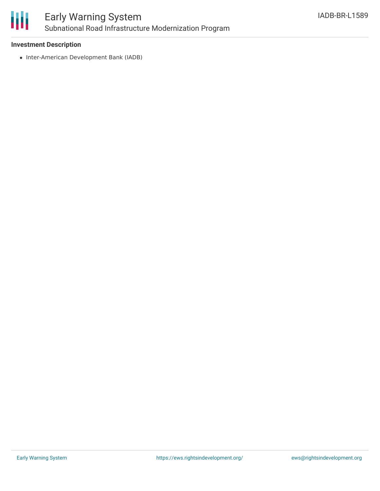

### **Investment Description**

• Inter-American Development Bank (IADB)